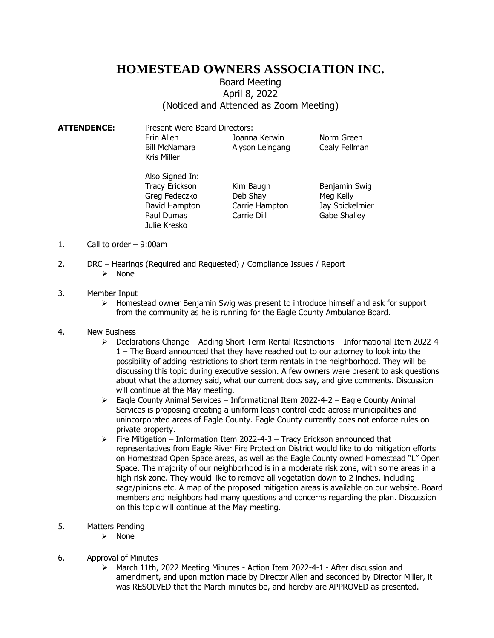## **HOMESTEAD OWNERS ASSOCIATION INC.**

## Board Meeting April 8, 2022 (Noticed and Attended as Zoom Meeting)

| Present Were Board Directors:                     |                                  |                             |
|---------------------------------------------------|----------------------------------|-----------------------------|
| Erin Allen<br><b>Bill McNamara</b><br>Kris Miller | Joanna Kerwin<br>Alyson Leingang | Norm Green<br>Cealy Fellman |
|                                                   |                                  |                             |

Also Signed In: Tracy Erickson Kim Baugh Benjamin Swig Greg Fedeczko Deb Shay Meg Kelly David Hampton Carrie Hampton Jay Spickelmier Paul Dumas Carrie Dill Gabe Shalley Julie Kresko

- 1. Call to order 9:00am
- 2. DRC Hearings (Required and Requested) / Compliance Issues / Report
	- ➢ None

## 3. Member Input

- $\triangleright$  Homestead owner Benjamin Swig was present to introduce himself and ask for support from the community as he is running for the Eagle County Ambulance Board.
- 4. New Business
	- ➢ Declarations Change Adding Short Term Rental Restrictions Informational Item 2022-4- 1 – The Board announced that they have reached out to our attorney to look into the possibility of adding restrictions to short term rentals in the neighborhood. They will be discussing this topic during executive session. A few owners were present to ask questions about what the attorney said, what our current docs say, and give comments. Discussion will continue at the May meeting.
	- ➢ Eagle County Animal Services Informational Item 2022-4-2 Eagle County Animal Services is proposing creating a uniform leash control code across municipalities and unincorporated areas of Eagle County. Eagle County currently does not enforce rules on private property.
	- ➢ Fire Mitigation Information Item 2022-4-3 Tracy Erickson announced that representatives from Eagle River Fire Protection District would like to do mitigation efforts on Homestead Open Space areas, as well as the Eagle County owned Homestead "L" Open Space. The majority of our neighborhood is in a moderate risk zone, with some areas in a high risk zone. They would like to remove all vegetation down to 2 inches, including sage/pinions etc. A map of the proposed mitigation areas is available on our website. Board members and neighbors had many questions and concerns regarding the plan. Discussion on this topic will continue at the May meeting.
- 5. Matters Pending
	- ➢ None
- 6. Approval of Minutes
	- ➢ March 11th, 2022 Meeting Minutes Action Item 2022-4-1 After discussion and amendment, and upon motion made by Director Allen and seconded by Director Miller, it was RESOLVED that the March minutes be, and hereby are APPROVED as presented.